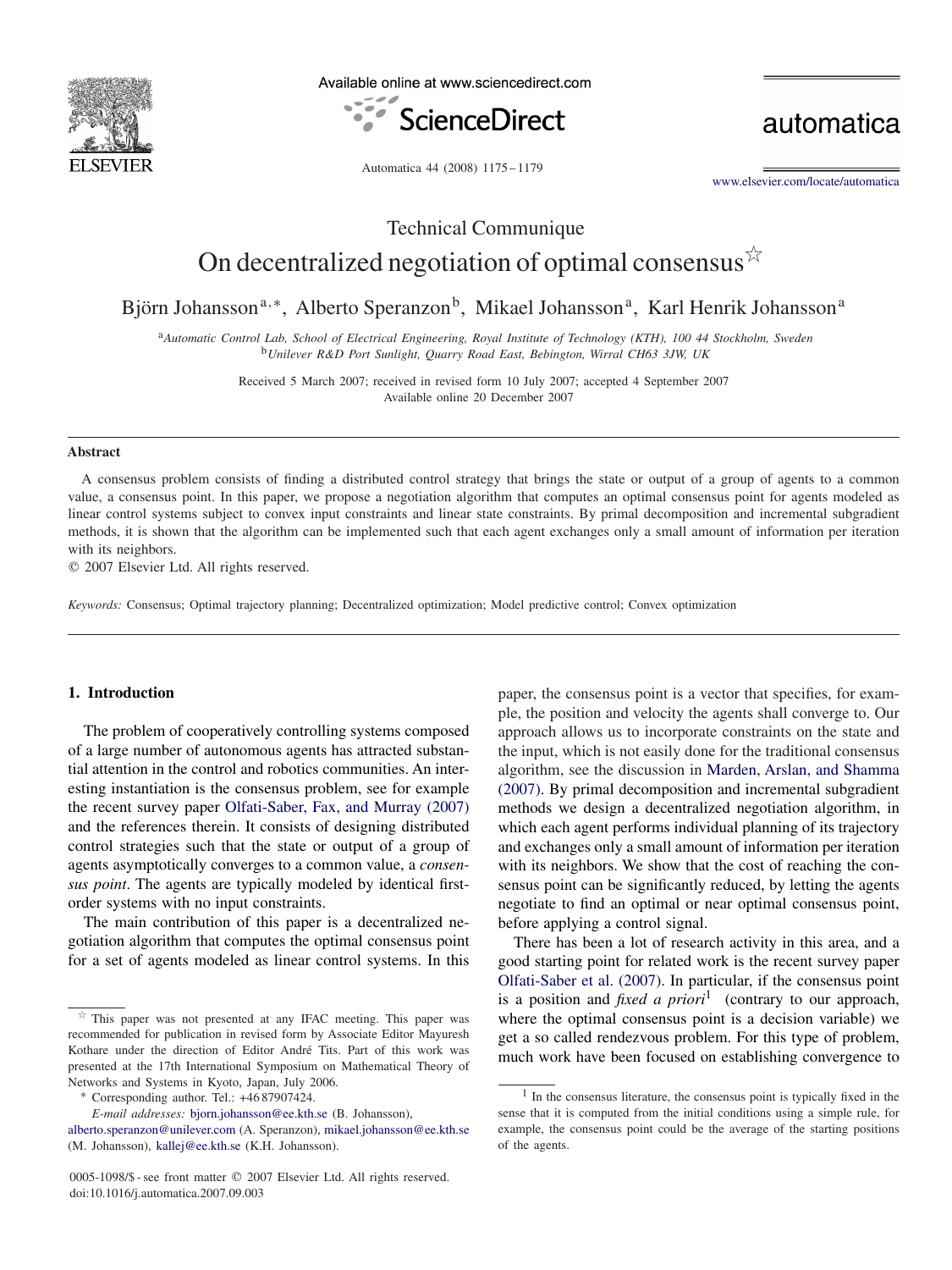

Available online at www.sciencedirect.com



automatica

Automatica 44 (2008) 1175 – 1179

[www.elsevier.com/locate/automatica](http://www.elsevier.com/locate/automatica)

# Technical Communique On decentralized negotiation of optimal consensus  $\vec{x}$

Björn Johansson<sup>a,∗</sup>, Alberto Speranzon<sup>b</sup>, Mikael Johansson<sup>a</sup>, Karl Henrik Johansson<sup>a</sup>

<sup>a</sup>*Automatic Control Lab, School of Electrical Engineering, Royal Institute of Technology (KTH), 100 44 Stockholm, Sweden* <sup>b</sup>*Unilever R&D Port Sunlight, Quarry Road East, Bebington, Wirral CH63 3JW, UK*

> Received 5 March 2007; received in revised form 10 July 2007; accepted 4 September 2007 Available online 20 December 2007

#### **Abstract**

A consensus problem consists of finding a distributed control strategy that brings the state or output of a group of agents to a common value, a consensus point. In this paper, we propose a negotiation algorithm that computes an optimal consensus point for agents modeled as linear control systems subject to convex input constraints and linear state constraints. By primal decomposition and incremental subgradient methods, it is shown that the algorithm can be implemented such that each agent exchanges only a small amount of information per iteration with its neighbors.

2007 Elsevier Ltd. All rights reserved.

*Keywords:* Consensus; Optimal trajectory planning; Decentralized optimization; Model predictive control; Convex optimization

## **1. Introduction**

The problem of cooperatively controlling systems composed of a large number of autonomous agents has attracted substantial attention in the control and robotics communities. An interesting instantiation is the consensus problem, see for example the recent survey paper [Olfati-Saber, Fax, and Murray \(2007\)](#page-4-0) and the references therein. It consists of designing distributed control strategies such that the state or output of a group of agents asymptotically converges to a common value, a *consensus point*. The agents are typically modeled by identical firstorder systems with no input constraints.

The main contribution of this paper is a decentralized negotiation algorithm that computes the optimal consensus point for a set of agents modeled as linear control systems. In this

paper, the consensus point is a vector that specifies, for example, the position and velocity the agents shall converge to. Our approach allows us to incorporate constraints on the state and the input, which is not easily done for the traditional consensus algorithm, see the discussion in [Marden, Arslan, and Shamma](#page-4-0) [\(2007\).](#page-4-0) By primal decomposition and incremental subgradient methods we design a decentralized negotiation algorithm, in which each agent performs individual planning of its trajectory and exchanges only a small amount of information per iteration with its neighbors. We show that the cost of reaching the consensus point can be significantly reduced, by letting the agents negotiate to find an optimal or near optimal consensus point, before applying a control signal.

There has been a lot of research activity in this area, and a good starting point for related work is the recent survey paper [Olfati-Saber et al. \(2007\).](#page-4-0) In particular, if the consensus point is a position and *fixed a priori*<sup>1</sup> (contrary to our approach, where the optimal consensus point is a decision variable) we get a so called rendezvous problem. For this type of problem, much work have been focused on establishing convergence to

 $\overrightarrow{r}$  This paper was not presented at any IFAC meeting. This paper was recommended for publication in revised form by Associate Editor Mayuresh Kothare under the direction of Editor André Tits. Part of this work was presented at the 17th International Symposium on Mathematical Theory of Networks and Systems in Kyoto, Japan, July 2006. <sup>∗</sup> Corresponding author. Tel.: +46 87907424.

*E-mail addresses:* [bjorn.johansson@ee.kth.se](mailto:bjorn.johansson@ee.kth.se) (B. Johansson),

[alberto.speranzon@unilever.com](mailto:alberto.speranzon@unilever.com) (A. Speranzon), [mikael.johansson@ee.kth.se](mailto:mikael.johansson@ee.kth.se) (M. Johansson), [kallej@ee.kth.se](mailto:kallej@ee.kth.se) (K.H. Johansson).

<sup>0005-1098/\$ -</sup> see front matter © 2007 Elsevier Ltd. All rights reserved. doi:10.1016/j.automatica.2007.09.003

 $<sup>1</sup>$  In the consensus literature, the consensus point is typically fixed in the</sup> sense that it is computed from the initial conditions using a simple rule, for example, the consensus point could be the average of the starting positions of the agents.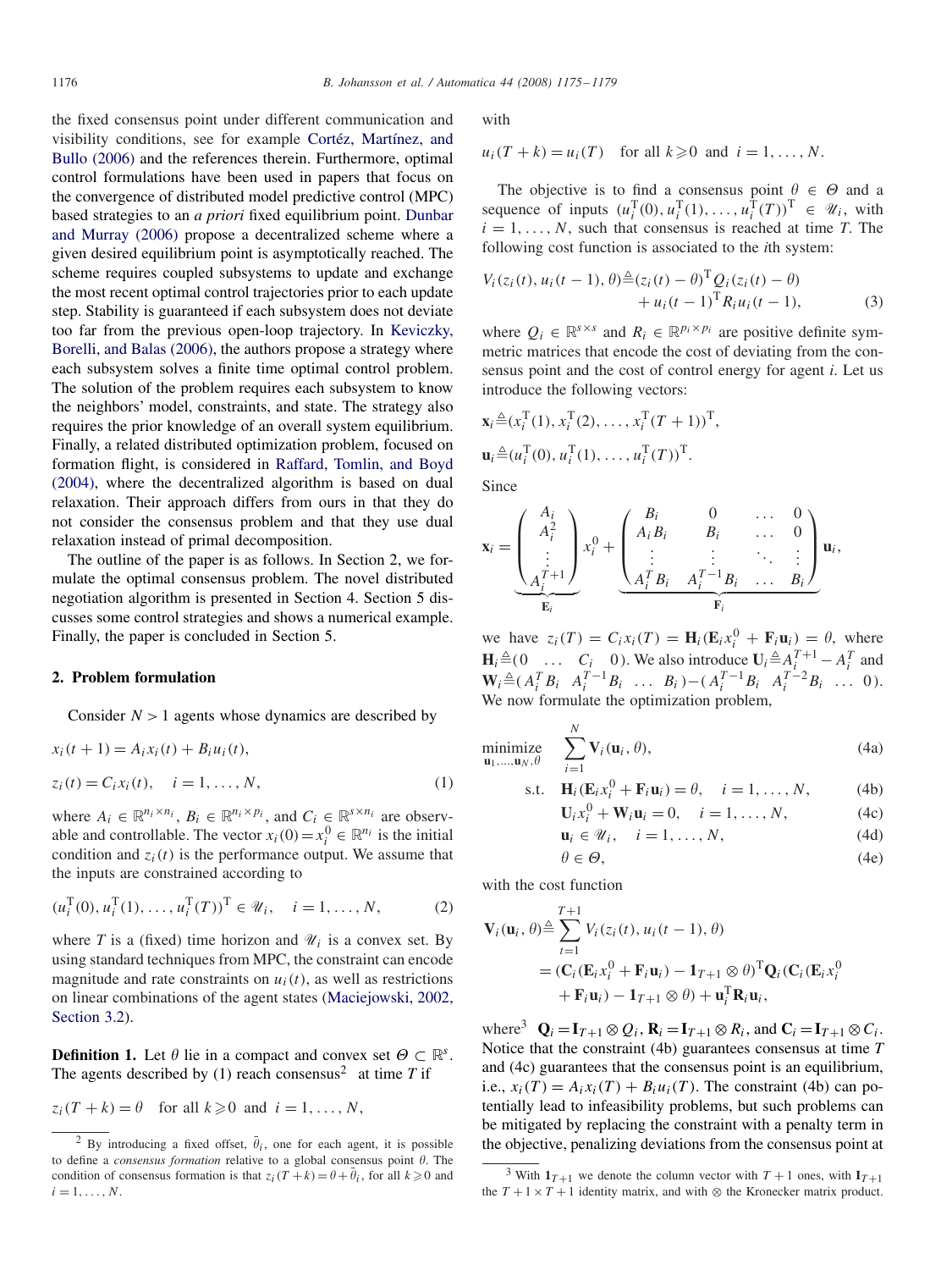the fixed consensus point under different communication and visibility conditions, see for example [Cortéz, Martínez, and](#page-4-0) [Bullo \(2006\)](#page-4-0) and the references therein. Furthermore, optimal control formulations have been used in papers that focus on the convergence of distributed model predictive control (MPC) based strategies to an *a priori* fixed equilibrium point. [Dunbar](#page-4-0) [and Murray \(2006\)](#page-4-0) propose a decentralized scheme where a given desired equilibrium point is asymptotically reached. The scheme requires coupled subsystems to update and exchange the most recent optimal control trajectories prior to each update step. Stability is guaranteed if each subsystem does not deviate too far from the previous open-loop trajectory. In [Keviczky,](#page-4-0) [Borelli, and Balas \(2006\),](#page-4-0) the authors propose a strategy where each subsystem solves a finite time optimal control problem. The solution of the problem requires each subsystem to know the neighbors' model, constraints, and state. The strategy also requires the prior knowledge of an overall system equilibrium. Finally, a related distributed optimization problem, focused on formation flight, is considered in [Raffard, Tomlin, and Boyd](#page-4-0) [\(2004\),](#page-4-0) where the decentralized algorithm is based on dual relaxation. Their approach differs from ours in that they do not consider the consensus problem and that they use dual relaxation instead of primal decomposition.

The outline of the paper is as follows. In Section 2, we formulate the optimal consensus problem. The novel distributed negotiation algorithm is presented in Section 4. Section 5 discusses some control strategies and shows a numerical example. Finally, the paper is concluded in Section 5.

## **2. Problem formulation**

Consider  $N > 1$  agents whose dynamics are described by

$$
x_i(t + 1) = A_i x_i(t) + B_i u_i(t),
$$
  
\n
$$
z_i(t) = C_i x_i(t), \quad i = 1, ..., N,
$$
\n(1)

where  $A_i \in \mathbb{R}^{n_i \times n_i}$ ,  $B_i \in \mathbb{R}^{n_i \times p_i}$ , and  $C_i \in \mathbb{R}^{s \times n_i}$  are observable and controllable. The vector  $x_i(0) = x_i^0 \in \mathbb{R}^{n_i}$  is the initial condition and  $z_i(t)$  is the performance output. We assume that the inputs are constrained according to

$$
(u_i^{\mathrm{T}}(0), u_i^{\mathrm{T}}(1), \dots, u_i^{\mathrm{T}}(T))^{\mathrm{T}} \in \mathcal{U}_i, \quad i = 1, \dots, N,
$$
 (2)

where *T* is a (fixed) time horizon and  $\mathcal{U}_i$  is a convex set. By using standard techniques from MPC, the constraint can encode magnitude and rate constraints on  $u_i(t)$ , as well as restrictions on linear combinations of the agent states [\(Maciejowski, 2002,](#page-4-0) [Section 3.2\)](#page-4-0).

**Definition 1.** Let  $\theta$  lie in a compact and convex set  $\Theta \subset \mathbb{R}^s$ . The agents described by (1) reach consensus<sup>2</sup> at time  $T$  if

$$
z_i(T + k) = \theta \quad \text{for all } k \geq 0 \text{ and } i = 1, \dots, N,
$$

with

$$
u_i(T + k) = u_i(T)
$$
 for all  $k \ge 0$  and  $i = 1, ..., N$ .

The objective is to find a consensus point  $\theta \in \Theta$  and a sequence of inputs  $(u_i^T(0), u_i^T(1), \dots, u_i^T(T))^T \in \mathcal{U}_i$ , with  $i = 1, \ldots, N$ , such that consensus is reached at time *T*. The following cost function is associated to the *i*th system:

$$
V_i(z_i(t), u_i(t-1), \theta) \triangleq (z_i(t) - \theta)^{\mathrm{T}} Q_i(z_i(t) - \theta) + u_i(t-1)^{\mathrm{T}} R_i u_i(t-1),
$$
 (3)

where  $Q_i \in \mathbb{R}^{s \times s}$  and  $R_i \in \mathbb{R}^{p_i \times p_i}$  are positive definite symmetric matrices that encode the cost of deviating from the consensus point and the cost of control energy for agent *i*. Let us introduce the following vectors:

$$
\mathbf{x}_{i} \triangleq (x_{i}^{\mathrm{T}}(1), x_{i}^{\mathrm{T}}(2), \ldots, x_{i}^{\mathrm{T}}(T+1))^{\mathrm{T}},
$$
  

$$
\mathbf{u}_{i} \triangleq (u_{i}^{\mathrm{T}}(0), u_{i}^{\mathrm{T}}(1), \ldots, u_{i}^{\mathrm{T}}(T))^{\mathrm{T}}.
$$

Since

$$
\mathbf{x}_{i} = \underbrace{\begin{pmatrix} A_{i} \\ A_{i}^{2} \\ \vdots \\ A_{i}^{T+1} \end{pmatrix}}_{\mathbf{E}_{i}} x_{i}^{0} + \underbrace{\begin{pmatrix} B_{i} & 0 & \dots & 0 \\ A_{i}B_{i} & B_{i} & \dots & 0 \\ \vdots & \vdots & \ddots & \vdots \\ A_{i}^{T}B_{i} & A_{i}^{T-1}B_{i} & \dots & B_{i} \end{pmatrix}}_{\mathbf{F}_{i}} \mathbf{u}_{i},
$$

we have  $z_i(T) = C_i x_i(T) = \mathbf{H}_i(\mathbf{E}_i x_i^0 + \mathbf{F}_i \mathbf{u}_i) = \theta$ , where  $\mathbf{H}_i \triangleq (0 \quad \dots \quad C_i \quad 0)$ . We also introduce  $\mathbf{U}_i \triangleq A_i^T + 1 - A_i^T$  and  $\mathbf{W}_i \triangleq (A_i^T B_i \quad A_i^{T-1} B_i \quad \dots \quad B_i) - (A_i^{T-1} B_i \quad A_i^{T-2} B_i \quad \dots \quad 0).$ We now formulate the optimization problem,

$$
\underset{\mathbf{u}_1,\ldots,\mathbf{u}_N,\theta}{\text{minimize}} \quad \sum_{i=1}^N \mathbf{V}_i(\mathbf{u}_i,\theta),\tag{4a}
$$

$$
\text{s.t.} \quad \mathbf{H}_i(\mathbf{E}_i x_i^0 + \mathbf{F}_i \mathbf{u}_i) = \theta, \quad i = 1, \dots, N, \tag{4b}
$$

$$
\mathbf{U}_i x_i^0 + \mathbf{W}_i \mathbf{u}_i = 0, \quad i = 1, \dots, N,
$$
 (4c)

$$
\mathbf{u}_i \in \mathcal{U}_i, \quad i = 1, \dots, N,
$$
 (4d)

$$
\theta \in \Theta,\tag{4e}
$$

with the cost function

 $\theta$ .

$$
\mathbf{V}_{i}(\mathbf{u}_{i}, \theta) \triangleq \sum_{t=1}^{T+1} V_{i}(z_{i}(t), u_{i}(t-1), \theta)
$$
  
=  $(\mathbf{C}_{i}(\mathbf{E}_{i}x_{i}^{0} + \mathbf{F}_{i}\mathbf{u}_{i}) - \mathbf{1}_{T+1} \otimes \theta)^{T} \mathbf{Q}_{i}(\mathbf{C}_{i}(\mathbf{E}_{i}x_{i}^{0} + \mathbf{F}_{i}\mathbf{u}_{i}) - \mathbf{1}_{T+1} \otimes \theta) + \mathbf{u}_{i}^{T} \mathbf{R}_{i}\mathbf{u}_{i},$ 

where<sup>3</sup>  $\mathbf{Q}_i = \mathbf{I}_{T+1} \otimes Q_i$ ,  $\mathbf{R}_i = \mathbf{I}_{T+1} \otimes R_i$ , and  $\mathbf{C}_i = \mathbf{I}_{T+1} \otimes C_i$ . Notice that the constraint (4b) guarantees consensus at time *T* and (4c) guarantees that the consensus point is an equilibrium, i.e.,  $x_i(T) = A_i x_i(T) + B_i u_i(T)$ . The constraint (4b) can potentially lead to infeasibility problems, but such problems can be mitigated by replacing the constraint with a penalty term in the objective, penalizing deviations from the consensus point at

<sup>&</sup>lt;sup>2</sup> By introducing a fixed offset,  $\bar{\theta}_i$ , one for each agent, it is possible to define a *consensus formation* relative to a global consensus point  $\theta$ . The condition of consensus formation is that  $z_i(T + k) = \theta + \overline{\theta}_i$ , for all  $k \ge 0$  and  $i=1,\ldots,N$ .

<sup>&</sup>lt;sup>3</sup> With  $1_{T+1}$  we denote the column vector with  $T+1$  ones, with  $1_{T+1}$ the  $T + 1 \times T + 1$  identity matrix, and with ⊗ the Kronecker matrix product.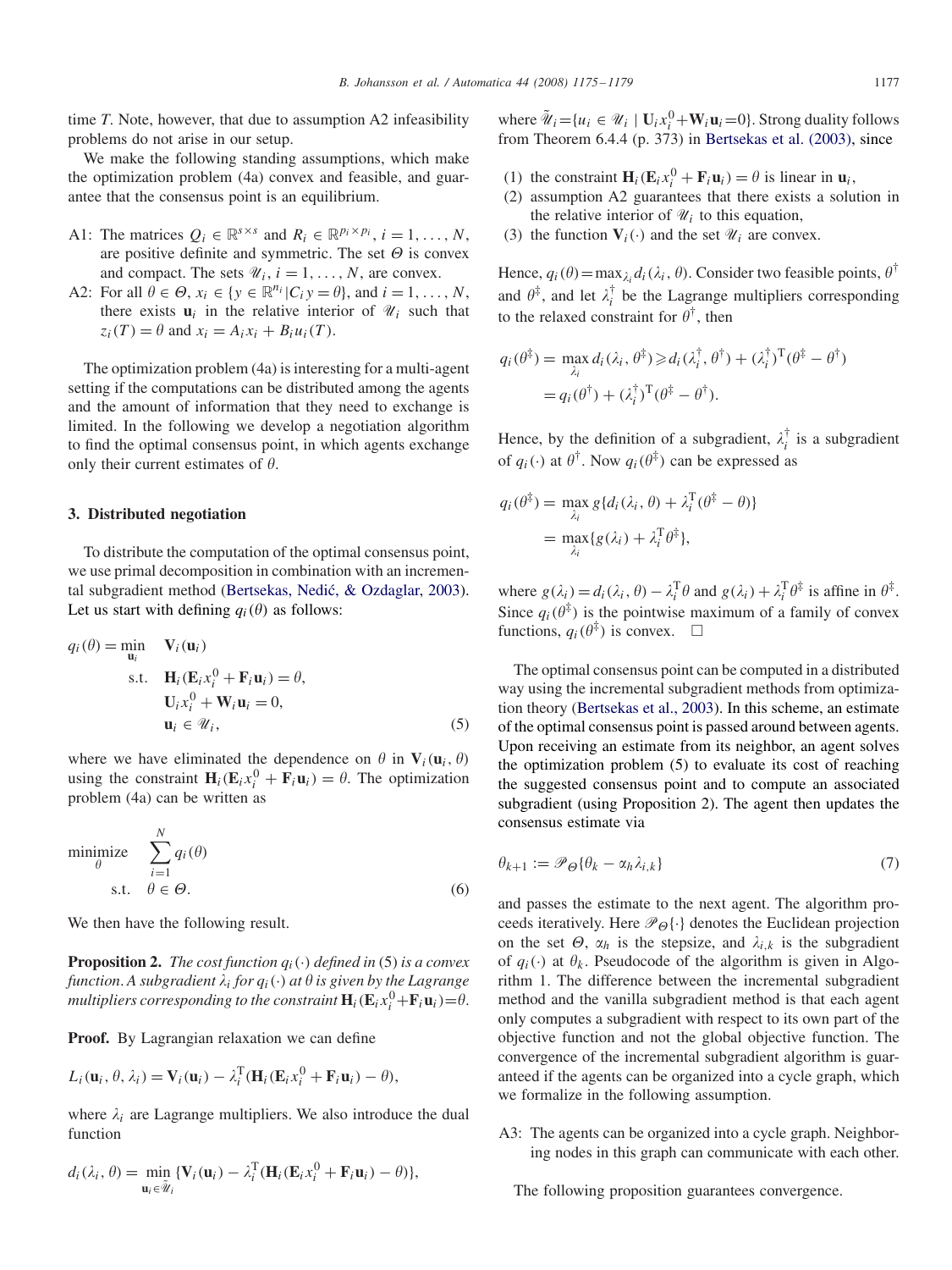time *T*. Note, however, that due to assumption A2 infeasibility problems do not arise in our setup.

We make the following standing assumptions, which make the optimization problem (4a) convex and feasible, and guarantee that the consensus point is an equilibrium.

- A1: The matrices  $Q_i \in \mathbb{R}^{s \times s}$  and  $R_i \in \mathbb{R}^{p_i \times p_i}$ ,  $i = 1, ..., N$ , are positive definite and symmetric. The set  $\Theta$  is convex and compact. The sets  $\mathcal{U}_i$ ,  $i = 1, \ldots, N$ , are convex.
- A2: For all  $\theta \in \Theta$ ,  $x_i \in \{y \in \mathbb{R}^{n_i} | C_i y = \theta \}$ , and  $i = 1, ..., N$ , there exists  $\mathbf{u}_i$  in the relative interior of  $\mathcal{U}_i$  such that  $z_i(T) = \theta$  and  $x_i = A_i x_i + B_i u_i(T)$ .

The optimization problem (4a) is interesting for a multi-agent setting if the computations can be distributed among the agents and the amount of information that they need to exchange is limited. In the following we develop a negotiation algorithm to find the optimal consensus point, in which agents exchange only their current estimates of  $\theta$ .

#### **3. Distributed negotiation**

To distribute the computation of the optimal consensus point, we use primal decomposition in combination with an incremental subgradient method (Bertsekas, Nedić, & Ozdaglar, 2003). Let us start with defining  $q_i(\theta)$  as follows:

$$
q_i(\theta) = \min_{\mathbf{u}_i} \quad \mathbf{V}_i(\mathbf{u}_i)
$$
  
s.t. 
$$
\mathbf{H}_i(\mathbf{E}_i x_i^0 + \mathbf{F}_i \mathbf{u}_i) = \theta,
$$

$$
\mathbf{U}_i x_i^0 + \mathbf{W}_i \mathbf{u}_i = 0,
$$

$$
\mathbf{u}_i \in \mathcal{U}_i,
$$
 (5)

where we have eliminated the dependence on  $\theta$  in  $V_i(\mathbf{u}_i, \theta)$ using the constraint  $\mathbf{H}_i(\mathbf{E}_i x_i^0 + \mathbf{F}_i \mathbf{u}_i) = \theta$ . The optimization problem (4a) can be written as

minimize 
$$
\sum_{i=1}^{N} q_i(\theta)
$$
  
s.t.  $\theta \in \Theta$ . (6)

We then have the following result.

**Proposition 2.** *The cost function*  $q_i(\cdot)$  *defined in* (5) *is a convex* function. A subgradient  $\lambda_i$  for  $q_i(\cdot)$  at  $\theta$  is given by the Lagrange  $m$ ultipliers corresponding to the constraint  $\mathbf{H}_i(\mathbf{E}_i x_i^0 + \mathbf{F}_i \mathbf{u}_i) = \theta.$ 

**Proof.** By Lagrangian relaxation we can define

$$
L_i(\mathbf{u}_i, \theta, \lambda_i) = \mathbf{V}_i(\mathbf{u}_i) - \lambda_i^{\mathrm{T}} (\mathbf{H}_i(\mathbf{E}_i x_i^0 + \mathbf{F}_i \mathbf{u}_i) - \theta),
$$

where  $\lambda_i$  are Lagrange multipliers. We also introduce the dual function

$$
d_i(\lambda_i, \theta) = \min_{\mathbf{u}_i \in \widetilde{\mathcal{U}}_i} \{ \mathbf{V}_i(\mathbf{u}_i) - \lambda_i^{\mathrm{T}} (\mathbf{H}_i(\mathbf{E}_i x_i^0 + \mathbf{F}_i \mathbf{u}_i) - \theta) \},
$$

where  $\tilde{\mathcal{U}}_i = \{u_i \in \mathcal{U}_i \mid \mathbf{U}_i x_i^0 + \mathbf{W}_i \mathbf{u}_i = 0\}$ . Strong duality follows from Theorem 6.4.4 (p. 373) in [Bertsekas et al. \(2003\),](#page-4-0) since

- (1) the constraint  $\mathbf{H}_i(\mathbf{E}_i x_i^0 + \mathbf{F}_i \mathbf{u}_i) = \theta$  is linear in  $\mathbf{u}_i$ ,
- (2) assumption A2 guarantees that there exists a solution in the relative interior of  $\mathcal{U}_i$  to this equation,
- (3) the function  $V_i(\cdot)$  and the set  $\mathcal{U}_i$  are convex.

Hence,  $q_i(\theta) = \max_{\lambda_i} d_i(\lambda_i, \theta)$ . Consider two feasible points,  $\theta^{\dagger}$ and  $\theta^{\ddagger}$ , and let  $\lambda_i^{\dagger}$  be the Lagrange multipliers corresponding to the relaxed constraint for  $\theta^{\dagger}$ , then

$$
q_i(\theta^{\ddagger}) = \max_{\lambda_i} d_i(\lambda_i, \theta^{\ddagger}) \geq d_i(\lambda_i^{\dagger}, \theta^{\dagger}) + (\lambda_i^{\dagger})^{\mathrm{T}}(\theta^{\ddagger} - \theta^{\dagger})
$$
  
=  $q_i(\theta^{\dagger}) + (\lambda_i^{\dagger})^{\mathrm{T}}(\theta^{\ddagger} - \theta^{\dagger}).$ 

Hence, by the definition of a subgradient,  $\lambda_i^{\dagger}$  is a subgradient of  $q_i(\cdot)$  at  $\theta^{\dagger}$ . Now  $q_i(\theta^{\ddagger})$  can be expressed as

$$
q_i(\theta^{\ddagger}) = \max_{\lambda_i} g\{d_i(\lambda_i, \theta) + \lambda_i^{\text{T}}(\theta^{\ddagger} - \theta)\}
$$
  
= 
$$
\max_{\lambda_i} \{g(\lambda_i) + \lambda_i^{\text{T}}\theta^{\ddagger}\},
$$

where  $g(\lambda_i) = d_i(\lambda_i, \theta) - \lambda_i^{\text{T}} \theta$  and  $g(\lambda_i) + \lambda_i^{\text{T}} \theta^{\ddagger}$  is affine in  $\theta^{\ddagger}$ . Since  $q_i(\theta^{\ddagger})$  is the pointwise maximum of a family of convex functions,  $q_i(\theta^{\ddagger})$  is convex.  $\Box$ 

The optimal consensus point can be computed in a distributed way using the incremental subgradient methods from optimization theory [\(Bertsekas et al., 2003\)](#page-4-0). In this scheme, an estimate of the optimal consensus point is passed around between agents. Upon receiving an estimate from its neighbor, an agent solves the optimization problem (5) to evaluate its cost of reaching the suggested consensus point and to compute an associated subgradient (using Proposition 2). The agent then updates the consensus estimate via

$$
\theta_{k+1} := \mathscr{P}_{\Theta} \{ \theta_k - \alpha_h \lambda_{i,k} \}
$$
\n<sup>(7)</sup>

and passes the estimate to the next agent. The algorithm proceeds iteratively. Here  $\mathcal{P}_{\Theta}\{\cdot\}$  denotes the Euclidean projection on the set  $\Theta$ ,  $\alpha_h$  is the stepsize, and  $\lambda_{i,k}$  is the subgradient of  $q_i(\cdot)$  at  $\theta_k$ . Pseudocode of the algorithm is given in Algorithm 1. The difference between the incremental subgradient method and the vanilla subgradient method is that each agent only computes a subgradient with respect to its own part of the objective function and not the global objective function. The convergence of the incremental subgradient algorithm is guaranteed if the agents can be organized into a cycle graph, which we formalize in the following assumption.

A3: The agents can be organized into a cycle graph. Neighboring nodes in this graph can communicate with each other.

The following proposition guarantees convergence.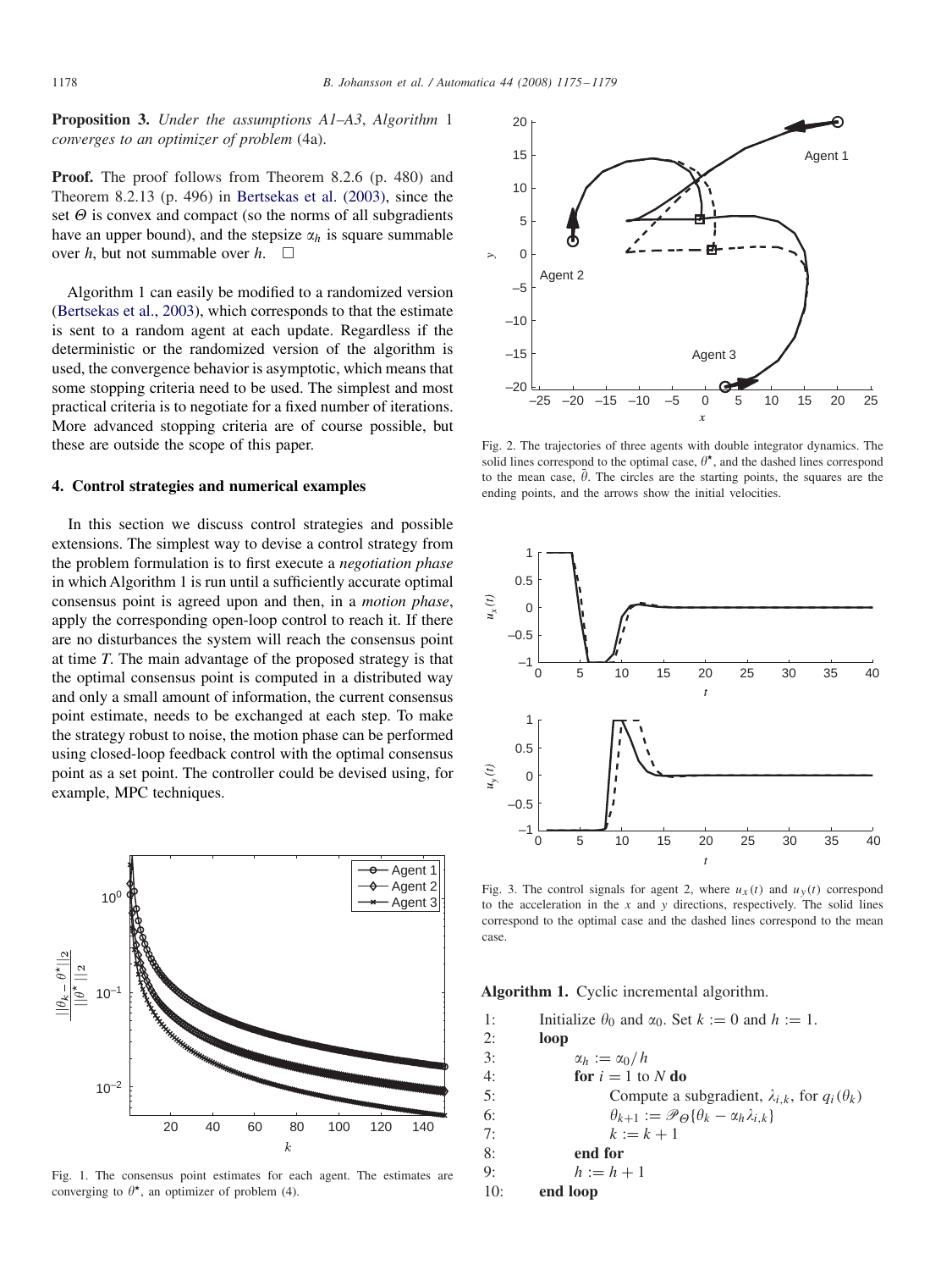<span id="page-3-0"></span>**Proposition 3.** *Under the assumptions A1–A3*, *Algorithm* 1 *converges to an optimizer of problem* (4a).

**Proof.** The proof follows from Theorem 8.2.6 (p. 480) and Theorem 8.2.13 (p. 496) in [Bertsekas et al. \(2003\),](#page-4-0) since the set  $\Theta$  is convex and compact (so the norms of all subgradients have an upper bound), and the stepsize  $\alpha_h$  is square summable over *h*, but not summable over *h*.  $\square$ 

Algorithm 1 can easily be modified to a randomized version [\(Bertsekas et al., 2003\)](#page-4-0), which corresponds to that the estimate is sent to a random agent at each update. Regardless if the deterministic or the randomized version of the algorithm is used, the convergence behavior is asymptotic, which means that some stopping criteria need to be used. The simplest and most practical criteria is to negotiate for a fixed number of iterations. More advanced stopping criteria are of course possible, but these are outside the scope of this paper.

### **4. Control strategies and numerical examples**

In this section we discuss control strategies and possible extensions. The simplest way to devise a control strategy from the problem formulation is to first execute a *negotiation phase* in which Algorithm 1 is run until a sufficiently accurate optimal consensus point is agreed upon and then, in a *motion phase*, apply the corresponding open-loop control to reach it. If there are no disturbances the system will reach the consensus point at time *T*. The main advantage of the proposed strategy is that the optimal consensus point is computed in a distributed way and only a small amount of information, the current consensus point estimate, needs to be exchanged at each step. To make the strategy robust to noise, the motion phase can be performed using closed-loop feedback control with the optimal consensus point as a set point. The controller could be devised using, for example, MPC techniques.



Fig. 1. The consensus point estimates for each agent. The estimates are converging to  $\theta^*$ , an optimizer of problem (4).



Fig. 2. The trajectories of three agents with double integrator dynamics. The solid lines correspond to the optimal case,  $\theta^*$ , and the dashed lines correspond to the mean case,  $\bar{\theta}$ . The circles are the starting points, the squares are the ending points, and the arrows show the initial velocities.



Fig. 3. The control signals for agent 2, where  $u_x(t)$  and  $u_y(t)$  correspond to the acceleration in the *x* and *y* directions, respectively. The solid lines correspond to the optimal case and the dashed lines correspond to the mean case.

**Algorithm 1.** Cyclic incremental algorithm.

1: Initialize  $\theta_0$  and  $\alpha_0$ . Set  $k := 0$  and  $h := 1$ . 2: **loop** 3:  $\alpha_h := \alpha_0/h$ 4: **for**  $i = 1$  to  $N$  **do** 5: Compute a subgradient,  $\lambda_{i,k}$ , for  $q_i(\theta_k)$ 6:  $\theta$  $k+1 := \mathscr{P}_{\Theta} {\{\theta_k - \alpha_h \lambda_{i,k}\}}$ 7:  $k := k + 1$ 8: **end for** 9:  $h := h + 1$ 10: **end loop**